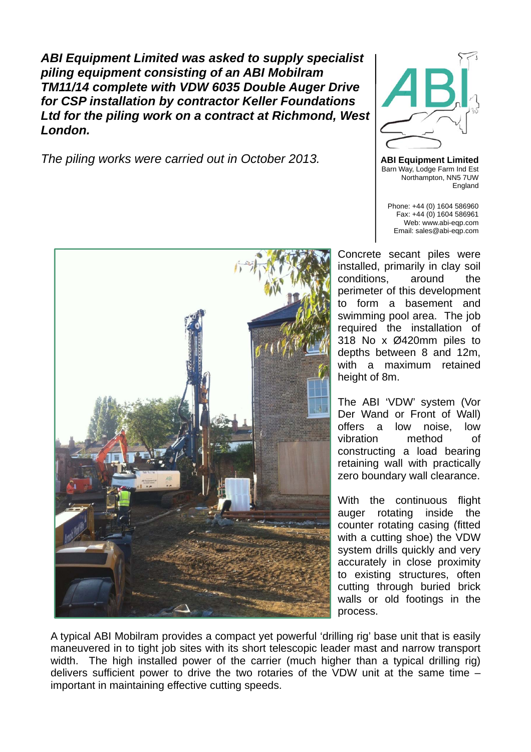*ABI Equipment Limited was asked to supply specialist piling equipment consisting of an ABI Mobilram TM11/14 complete with VDW 6035 Double Auger Drive for CSP installation by contractor Keller Foundations Ltd for the piling work on a contract at Richmond, West London.* 

*The piling works were carried out in October 2013.* **ABI Equipment Limited**



Barn Way, Lodge Farm Ind Est Northampton, NN5 7UW England

Phone: +44 (0) 1604 586960 Fax: +44 (0) 1604 586961 Web: www.abi-eqp.com Email: sales@abi-eqp.com

Concrete secant piles were installed, primarily in clay soil conditions, around the perimeter of this development to form a basement and swimming pool area. The job required the installation of 318 No x Ø420mm piles to depths between 8 and 12m, with a maximum retained height of 8m.

The ABI 'VDW' system (Vor Der Wand or Front of Wall) offers a low noise, low vibration method of constructing a load bearing retaining wall with practically zero boundary wall clearance.

With the continuous flight auger rotating inside the counter rotating casing (fitted with a cutting shoe) the VDW system drills quickly and very accurately in close proximity to existing structures, often cutting through buried brick walls or old footings in the process.

A typical ABI Mobilram provides a compact yet powerful 'drilling rig' base unit that is easily maneuvered in to tight job sites with its short telescopic leader mast and narrow transport width. The high installed power of the carrier (much higher than a typical drilling rig) delivers sufficient power to drive the two rotaries of the VDW unit at the same time – important in maintaining effective cutting speeds.